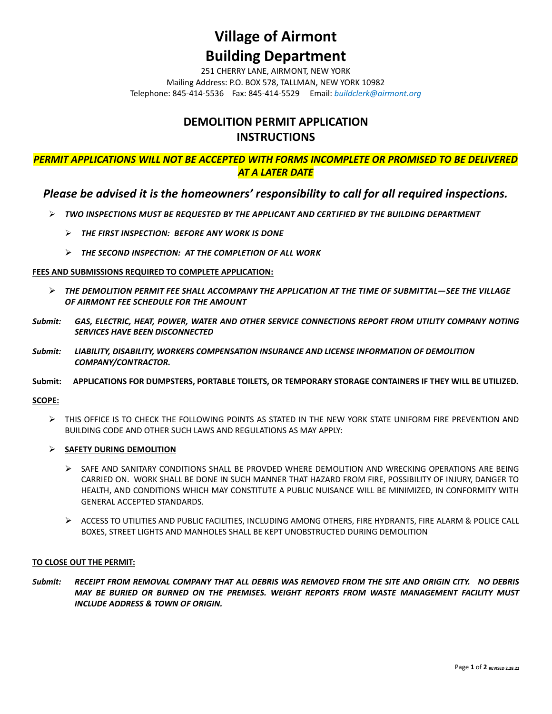### **Village of Airmont**

## **Building Department**

251 CHERRY LANE, AIRMONT, NEW YORK Mailing Address: P.O. BOX 578, TALLMAN, NEW YORK 10982 Telephone: 845-414-5536 Fax: 845-414-5529 Email: *buildclerk@airmont.org*

### **DEMOLITION PERMIT APPLICATION INSTRUCTIONS**

*PERMIT APPLICATIONS WILL NOT BE ACCEPTED WITH FORMS INCOMPLETE OR PROMISED TO BE DELIVERED AT A LATER DATE*

### *Please be advised it is the homeowners' responsibility to call for all required inspections.*

- ➢ *TWO INSPECTIONS MUST BE REQUESTED BY THE APPLICANT AND CERTIFIED BY THE BUILDING DEPARTMENT*
	- ➢ *THE FIRST INSPECTION: BEFORE ANY WORK IS DONE*
	- ➢ *THE SECOND INSPECTION: AT THE COMPLETION OF ALL WORK*

#### **FEES AND SUBMISSIONS REQUIRED TO COMPLETE APPLICATION:**

- ➢ *THE DEMOLITION PERMIT FEE SHALL ACCOMPANY THE APPLICATION AT THE TIME OF SUBMITTAL—SEE THE VILLAGE OF AIRMONT FEE SCHEDULE FOR THE AMOUNT*
- *Submit: GAS, ELECTRIC, HEAT, POWER, WATER AND OTHER SERVICE CONNECTIONS REPORT FROM UTILITY COMPANY NOTING SERVICES HAVE BEEN DISCONNECTED*
- *Submit: LIABILITY, DISABILITY, WORKERS COMPENSATION INSURANCE AND LICENSE INFORMATION OF DEMOLITION COMPANY/CONTRACTOR.*

#### **Submit: APPLICATIONS FOR DUMPSTERS, PORTABLE TOILETS, OR TEMPORARY STORAGE CONTAINERS IF THEY WILL BE UTILIZED.**

**SCOPE:**

- ➢ THIS OFFICE IS TO CHECK THE FOLLOWING POINTS AS STATED IN THE NEW YORK STATE UNIFORM FIRE PREVENTION AND BUILDING CODE AND OTHER SUCH LAWS AND REGULATIONS AS MAY APPLY:
- ➢ **SAFETY DURING DEMOLITION**
	- ➢ SAFE AND SANITARY CONDITIONS SHALL BE PROVDED WHERE DEMOLITION AND WRECKING OPERATIONS ARE BEING CARRIED ON. WORK SHALL BE DONE IN SUCH MANNER THAT HAZARD FROM FIRE, POSSIBILITY OF INJURY, DANGER TO HEALTH, AND CONDITIONS WHICH MAY CONSTITUTE A PUBLIC NUISANCE WILL BE MINIMIZED, IN CONFORMITY WITH GENERAL ACCEPTED STANDARDS.
	- ➢ ACCESS TO UTILITIES AND PUBLIC FACILITIES, INCLUDING AMONG OTHERS, FIRE HYDRANTS, FIRE ALARM & POLICE CALL BOXES, STREET LIGHTS AND MANHOLES SHALL BE KEPT UNOBSTRUCTED DURING DEMOLITION

#### **TO CLOSE OUT THE PERMIT:**

*Submit: RECEIPT FROM REMOVAL COMPANY THAT ALL DEBRIS WAS REMOVED FROM THE SITE AND ORIGIN CITY. NO DEBRIS MAY BE BURIED OR BURNED ON THE PREMISES. WEIGHT REPORTS FROM WASTE MANAGEMENT FACILITY MUST INCLUDE ADDRESS & TOWN OF ORIGIN.*